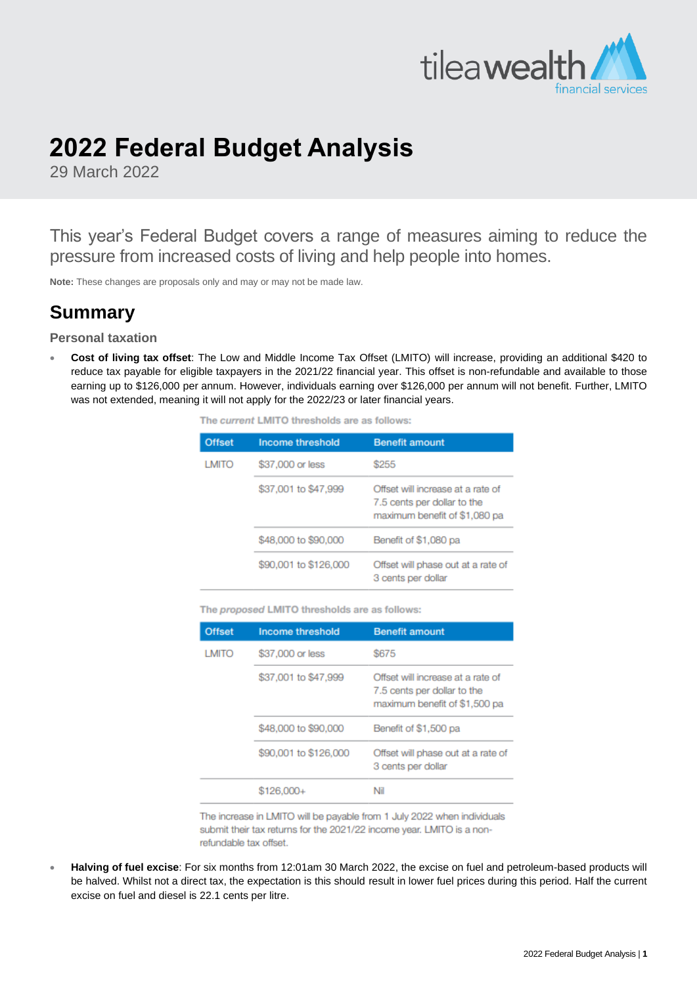

# **2022 Federal Budget Analysis**

29 March 2022

This year's Federal Budget covers a range of measures aiming to reduce the pressure from increased costs of living and help people into homes.

**Note:** These changes are proposals only and may or may not be made law.

# **Summary**

**Personal taxation**

• **Cost of living tax offset**: The Low and Middle Income Tax Offset (LMITO) will increase, providing an additional \$420 to reduce tax payable for eligible taxpayers in the 2021/22 financial year. This offset is non-refundable and available to those earning up to \$126,000 per annum. However, individuals earning over \$126,000 per annum will not benefit. Further, LMITO was not extended, meaning it will not apply for the 2022/23 or later financial years.

| The current LMITO thresholds are as follows: |  |
|----------------------------------------------|--|
|----------------------------------------------|--|

| <b>Offset</b> | <b>Income threshold</b> | <b>Benefit amount</b>                                                                             |  |
|---------------|-------------------------|---------------------------------------------------------------------------------------------------|--|
| <b>LMITO</b>  | \$37,000 or less        | \$255                                                                                             |  |
|               | \$37,001 to \$47,999    | Offset will increase at a rate of<br>7.5 cents per dollar to the<br>maximum benefit of \$1,080 pa |  |
|               | \$48,000 to \$90,000    | Benefit of \$1,080 pa                                                                             |  |
|               | \$90,001 to \$126,000   | Offset will phase out at a rate of<br>3 cents per dollar                                          |  |

The proposed LMITO thresholds are as follows:

| <b>Offset</b> | <b>Income threshold</b> | <b>Benefit amount</b>                                                                             |  |  |
|---------------|-------------------------|---------------------------------------------------------------------------------------------------|--|--|
| <b>LMITO</b>  | \$37,000 or less        | \$675                                                                                             |  |  |
|               | \$37,001 to \$47,999    | Offset will increase at a rate of<br>7.5 cents per dollar to the<br>maximum benefit of \$1,500 pa |  |  |
|               | \$48,000 to \$90,000    | Benefit of \$1,500 pa                                                                             |  |  |
|               | \$90,001 to \$126,000   | Offset will phase out at a rate of<br>3 cents per dollar                                          |  |  |
|               | \$126,000+              | ΝiΙ                                                                                               |  |  |

The increase in LMITO will be payable from 1 July 2022 when individuals submit their tax returns for the 2021/22 income year. LMITO is a nonrefundable tax offset.

• **Halving of fuel excise**: For six months from 12:01am 30 March 2022, the excise on fuel and petroleum-based products will be halved. Whilst not a direct tax, the expectation is this should result in lower fuel prices during this period. Half the current excise on fuel and diesel is 22.1 cents per litre.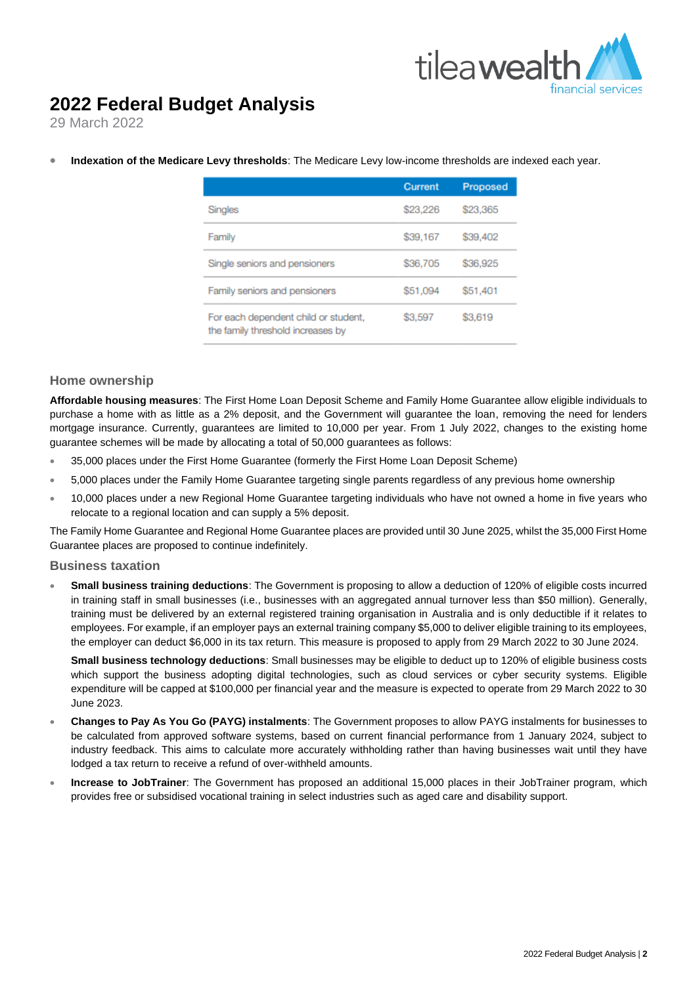

### **2022 Federal Budget Analysis**

29 March 2022

|                                                                           | Current  | <b>Proposed</b> |
|---------------------------------------------------------------------------|----------|-----------------|
| Singles                                                                   | \$23,226 | \$23,365        |
| Family                                                                    | \$39,167 | \$39,402        |
| Single seniors and pensioners                                             | \$36,705 | \$36,925        |
| Family seniors and pensioners                                             | \$51,094 | \$51,401        |
| For each dependent child or student,<br>the family threshold increases by | \$3,597  | \$3,619         |

• **Indexation of the Medicare Levy thresholds**: The Medicare Levy low-income thresholds are indexed each year.

#### **Home ownership**

**Affordable housing measures**: The First Home Loan Deposit Scheme and Family Home Guarantee allow eligible individuals to purchase a home with as little as a 2% deposit, and the Government will guarantee the loan, removing the need for lenders mortgage insurance. Currently, guarantees are limited to 10,000 per year. From 1 July 2022, changes to the existing home guarantee schemes will be made by allocating a total of 50,000 guarantees as follows:

- 35,000 places under the First Home Guarantee (formerly the First Home Loan Deposit Scheme)
- 5,000 places under the Family Home Guarantee targeting single parents regardless of any previous home ownership
- 10,000 places under a new Regional Home Guarantee targeting individuals who have not owned a home in five years who relocate to a regional location and can supply a 5% deposit.

The Family Home Guarantee and Regional Home Guarantee places are provided until 30 June 2025, whilst the 35,000 First Home Guarantee places are proposed to continue indefinitely.

#### **Business taxation**

• **Small business training deductions**: The Government is proposing to allow a deduction of 120% of eligible costs incurred in training staff in small businesses (i.e., businesses with an aggregated annual turnover less than \$50 million). Generally, training must be delivered by an external registered training organisation in Australia and is only deductible if it relates to employees. For example, if an employer pays an external training company \$5,000 to deliver eligible training to its employees, the employer can deduct \$6,000 in its tax return. This measure is proposed to apply from 29 March 2022 to 30 June 2024.

**Small business technology deductions**: Small businesses may be eligible to deduct up to 120% of eligible business costs which support the business adopting digital technologies, such as cloud services or cyber security systems. Eligible expenditure will be capped at \$100,000 per financial year and the measure is expected to operate from 29 March 2022 to 30 June 2023.

- **Changes to Pay As You Go (PAYG) instalments**: The Government proposes to allow PAYG instalments for businesses to be calculated from approved software systems, based on current financial performance from 1 January 2024, subject to industry feedback. This aims to calculate more accurately withholding rather than having businesses wait until they have lodged a tax return to receive a refund of over-withheld amounts.
- **Increase to JobTrainer**: The Government has proposed an additional 15,000 places in their JobTrainer program, which provides free or subsidised vocational training in select industries such as aged care and disability support.